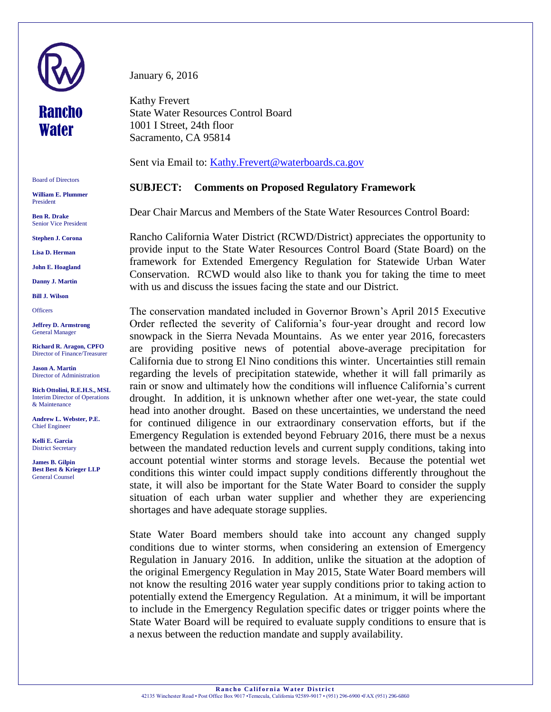

## Rancho Water

Board of Directors

**William E. Plummer**  President

**Ben R. Drake**  Senior Vice President

**Stephen J. Corona**

**Lisa D. Herman**

**John E. Hoagland**

**Danny J. Martin**

**Bill J. Wilson**

**Officers** 

**Jeffrey D. Armstrong** General Manager

**Richard R. Aragon, CPFO** Director of Finance/Treasurer

**Jason A. Martin** Director of Administration

**Rich Ottolini, R.E.H.S., MSL** Interim Director of Operations & Maintenance

**Andrew L. Webster, P.E.** Chief Engineer

**Kelli E. Garcia** District Secretary

**James B. Gilpin Best Best & Krieger LLP** General Counsel

January 6, 2016

Kathy Frevert State Water Resources Control Board 1001 I Street, 24th floor Sacramento, CA 95814

Sent via Email to: Kathy. Frevert@waterboards.ca.gov

## **SUBJECT: Comments on Proposed Regulatory Framework**

Dear Chair Marcus and Members of the State Water Resources Control Board:

Rancho California Water District (RCWD/District) appreciates the opportunity to provide input to the State Water Resources Control Board (State Board) on the framework for Extended Emergency Regulation for Statewide Urban Water Conservation. RCWD would also like to thank you for taking the time to meet with us and discuss the issues facing the state and our District.

The conservation mandated included in Governor Brown's April 2015 Executive Order reflected the severity of California's four-year drought and record low snowpack in the Sierra Nevada Mountains. As we enter year 2016, forecasters are providing positive news of potential above-average precipitation for California due to strong El Nino conditions this winter. Uncertainties still remain regarding the levels of precipitation statewide, whether it will fall primarily as rain or snow and ultimately how the conditions will influence California's current drought. In addition, it is unknown whether after one wet-year, the state could head into another drought. Based on these uncertainties, we understand the need for continued diligence in our extraordinary conservation efforts, but if the Emergency Regulation is extended beyond February 2016, there must be a nexus between the mandated reduction levels and current supply conditions, taking into account potential winter storms and storage levels. Because the potential wet conditions this winter could impact supply conditions differently throughout the state, it will also be important for the State Water Board to consider the supply situation of each urban water supplier and whether they are experiencing shortages and have adequate storage supplies.

State Water Board members should take into account any changed supply conditions due to winter storms, when considering an extension of Emergency Regulation in January 2016. In addition, unlike the situation at the adoption of the original Emergency Regulation in May 2015, State Water Board members will not know the resulting 2016 water year supply conditions prior to taking action to potentially extend the Emergency Regulation. At a minimum, it will be important to include in the Emergency Regulation specific dates or trigger points where the State Water Board will be required to evaluate supply conditions to ensure that is a nexus between the reduction mandate and supply availability.